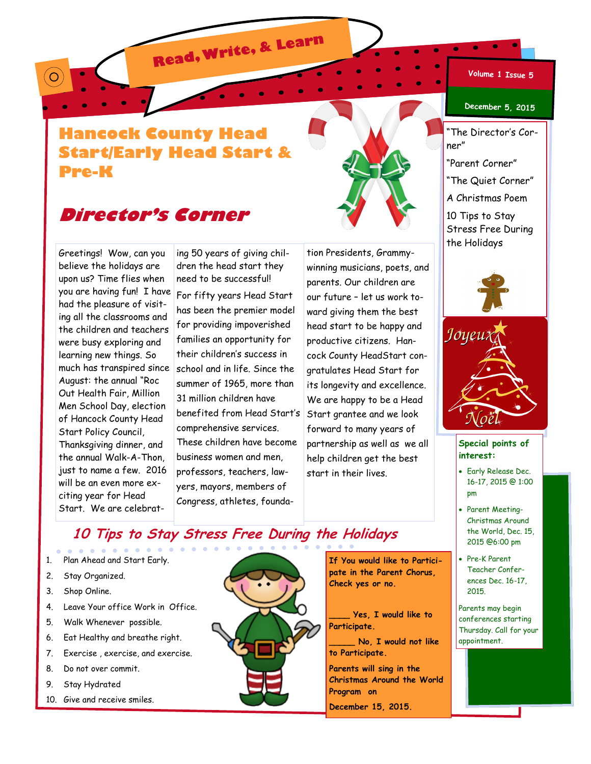**Read, Write, & Learn**

#### **Volume 1 Issue 5**

### **Hancock County Head Start/Early Head Start & Pre-K**



## **Director's Corner**

Greetings! Wow, can you believe the holidays are upon us? Time flies when you are having fun! I have had the pleasure of visiting all the classrooms and the children and teachers were busy exploring and learning new things. So much has transpired since August: the annual "Roc Out Health Fair, Million Men School Day, election of Hancock County Head Start Policy Council, Thanksgiving dinner, and the annual Walk-A-Thon, just to name a few. 2016 will be an even more exciting year for Head Start. We are celebrat-

O

ing 50 years of giving children the head start they need to be successful!

For fifty years Head Start has been the premier model for providing impoverished families an opportunity for their children's success in school and in life. Since the summer of 1965, more than 31 million children have benefited from Head Start's comprehensive services. These children have become business women and men, professors, teachers, lawyers, mayors, members of Congress, athletes, founda-

tion Presidents, Grammywinning musicians, poets, and parents. Our children are our future – let us work toward giving them the best head start to be happy and productive citizens. Hancock County HeadStart congratulates Head Start for its longevity and excellence. We are happy to be a Head Start grantee and we look forward to many years of partnership as well as we all help children get the best start in their lives.

#### **December 5, 2015**

The Director's Corner"

"Parent Corner"

"The Quiet Corner"

A Christmas Poem

10 Tips to Stay Stress Free During the Holidays





### **Special points of interest:**

- Early Release Dec. 16-17, 2015 @ 1:00 pm
- Parent Meeting-Christmas Around the World, Dec. 15, 2015 @6:00 pm
- Pre-K Parent Teacher Conferences Dec. 16-17, 2015.

Parents may begin conferences starting Thursday. Call for your appointment.

### **10 Tips to Stay Stress Free During the Holidays**

- 1. Plan Ahead and Start Early.
- 2. Stay Organized.
- 3. Shop Online.
- 4. Leave Your office Work in Office.
- 5. Walk Whenever possible.
- 6. Eat Healthy and breathe right.
- 7. Exercise , exercise, and exercise.
- 8. Do not over commit.
- 9. Stay Hydrated
- 10. Give and receive smiles.



**If You would like to Participate in the Parent Chorus, Check yes or no.** 

**\_\_\_\_ Yes, I would like to Participate.**

**\_\_\_\_\_ No, I would not like to Participate.** 

**Parents will sing in the Christmas Around the World Program on December 15, 2015.**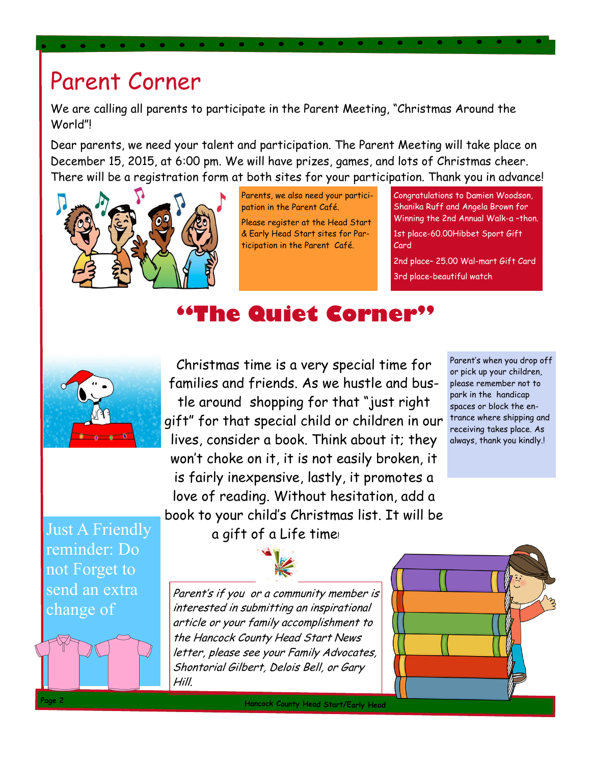# Parent Corner

We are calling all parents to participate in the Parent Meeting, "Christmas Around the World"!

Dear parents, we need your talent and participation. The Parent Meeting will take place on December 15, 2015, at 6:00 pm. We will have prizes, games, and lots of Christmas cheer. There will be a registration form at both sites for your participation. Thank you in advance!



Parents, we also need your participation in the Parent Café.

Please register at the Head Start & Early Head Start sites for Participation in the Parent Café.

Congratulations to Damien Woodson, Shanika Ruff and Angela Brown for Winning the 2nd Annual Walk-a-thon. 1st place-60.00Hibbet Sport Gift Card

2nd place– 25.00 Wal-mart Gift Card 3rd place-beautiful watch

# **"The Quiet Corner"**



Christmas time is a very special time for families and friends. As we hustle and bustle around shopping for that "just right gift" for that special child or children in our lives, consider a book. Think about it; they won't choke on it, it is not easily broken, it is fairly inexpensive, lastly, it promotes a love of reading. Without hesitation, add a book to your child's Christmas list. It will be

Parent's when you drop off or pick up your children, please remember not to park in the handicap spaces or block the entrance where shipping and receiving takes place. As always, thank you kindly.!

Just A Friendly reminder: Do not Forget to send an extra change of

a gift of a Life time!

Parent's if you or a community member is interested in submitting an inspirational article or your family accomplishment to the Hancock County Head Start News letter, please see your Family Advocates, Shontorial Gilbert, Delois Bell, or Gary Hill.